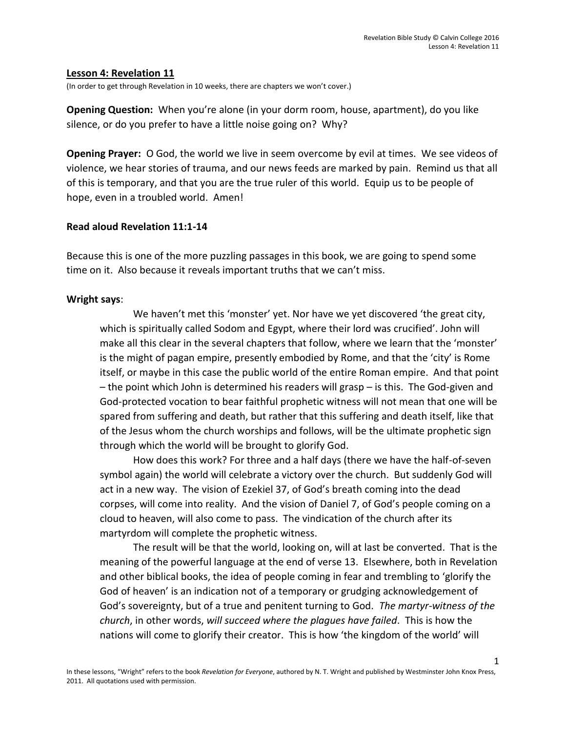#### **Lesson 4: Revelation 11**

(In order to get through Revelation in 10 weeks, there are chapters we won't cover.)

**Opening Question:** When you're alone (in your dorm room, house, apartment), do you like silence, or do you prefer to have a little noise going on? Why?

**Opening Prayer:** O God, the world we live in seem overcome by evil at times. We see videos of violence, we hear stories of trauma, and our news feeds are marked by pain. Remind us that all of this is temporary, and that you are the true ruler of this world.Equip us to be people of hope, even in a troubled world. Amen!

## **Read aloud Revelation 11:1-14**

Because this is one of the more puzzling passages in this book, we are going to spend some time on it. Also because it reveals important truths that we can't miss.

## **Wright says**:

We haven't met this 'monster' yet. Nor have we yet discovered 'the great city, which is spiritually called Sodom and Egypt, where their lord was crucified'. John will make all this clear in the several chapters that follow, where we learn that the 'monster' is the might of pagan empire, presently embodied by Rome, and that the 'city' is Rome itself, or maybe in this case the public world of the entire Roman empire. And that point – the point which John is determined his readers will grasp – is this. The God-given and God-protected vocation to bear faithful prophetic witness will not mean that one will be spared from suffering and death, but rather that this suffering and death itself, like that of the Jesus whom the church worships and follows, will be the ultimate prophetic sign through which the world will be brought to glorify God.

How does this work? For three and a half days (there we have the half-of-seven symbol again) the world will celebrate a victory over the church. But suddenly God will act in a new way. The vision of Ezekiel 37, of God's breath coming into the dead corpses, will come into reality. And the vision of Daniel 7, of God's people coming on a cloud to heaven, will also come to pass. The vindication of the church after its martyrdom will complete the prophetic witness.

The result will be that the world, looking on, will at last be converted. That is the meaning of the powerful language at the end of verse 13. Elsewhere, both in Revelation and other biblical books, the idea of people coming in fear and trembling to 'glorify the God of heaven' is an indication not of a temporary or grudging acknowledgement of God's sovereignty, but of a true and penitent turning to God. *The martyr-witness of the church*, in other words, *will succeed where the plagues have failed*. This is how the nations will come to glorify their creator. This is how 'the kingdom of the world' will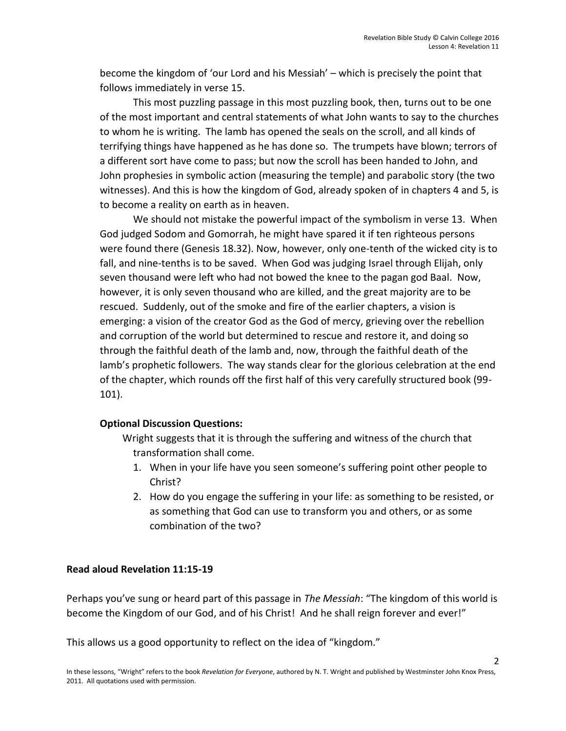become the kingdom of 'our Lord and his Messiah' – which is precisely the point that follows immediately in verse 15.

This most puzzling passage in this most puzzling book, then, turns out to be one of the most important and central statements of what John wants to say to the churches to whom he is writing. The lamb has opened the seals on the scroll, and all kinds of terrifying things have happened as he has done so. The trumpets have blown; terrors of a different sort have come to pass; but now the scroll has been handed to John, and John prophesies in symbolic action (measuring the temple) and parabolic story (the two witnesses). And this is how the kingdom of God, already spoken of in chapters 4 and 5, is to become a reality on earth as in heaven.

We should not mistake the powerful impact of the symbolism in verse 13. When God judged Sodom and Gomorrah, he might have spared it if ten righteous persons were found there (Genesis 18.32). Now, however, only one-tenth of the wicked city is to fall, and nine-tenths is to be saved. When God was judging Israel through Elijah, only seven thousand were left who had not bowed the knee to the pagan god Baal. Now, however, it is only seven thousand who are killed, and the great majority are to be rescued. Suddenly, out of the smoke and fire of the earlier chapters, a vision is emerging: a vision of the creator God as the God of mercy, grieving over the rebellion and corruption of the world but determined to rescue and restore it, and doing so through the faithful death of the lamb and, now, through the faithful death of the lamb's prophetic followers. The way stands clear for the glorious celebration at the end of the chapter, which rounds off the first half of this very carefully structured book (99- 101).

# **Optional Discussion Questions:**

 Wright suggests that it is through the suffering and witness of the church that transformation shall come.

- 1. When in your life have you seen someone's suffering point other people to Christ?
- 2. How do you engage the suffering in your life: as something to be resisted, or as something that God can use to transform you and others, or as some combination of the two?

# **Read aloud Revelation 11:15-19**

Perhaps you've sung or heard part of this passage in *The Messiah*: "The kingdom of this world is become the Kingdom of our God, and of his Christ! And he shall reign forever and ever!"

This allows us a good opportunity to reflect on the idea of "kingdom."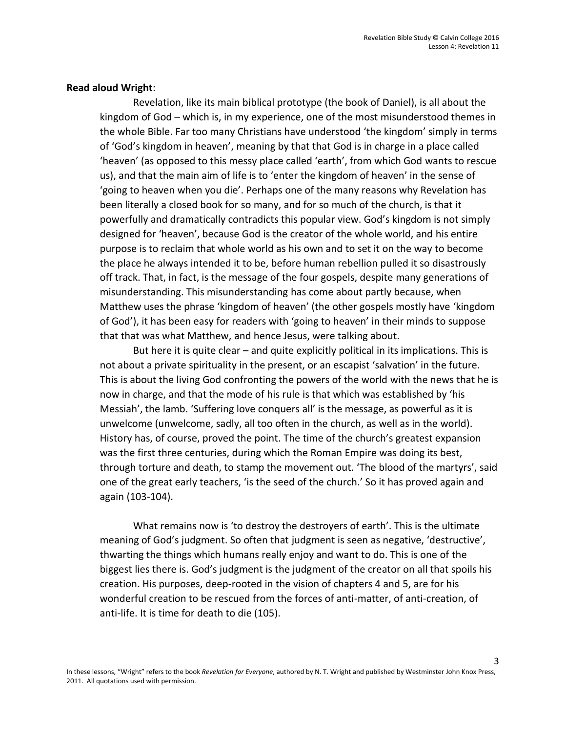#### **Read aloud Wright**:

Revelation, like its main biblical prototype (the book of Daniel), is all about the kingdom of God – which is, in my experience, one of the most misunderstood themes in the whole Bible. Far too many Christians have understood 'the kingdom' simply in terms of 'God's kingdom in heaven', meaning by that that God is in charge in a place called 'heaven' (as opposed to this messy place called 'earth', from which God wants to rescue us), and that the main aim of life is to 'enter the kingdom of heaven' in the sense of 'going to heaven when you die'. Perhaps one of the many reasons why Revelation has been literally a closed book for so many, and for so much of the church, is that it powerfully and dramatically contradicts this popular view. God's kingdom is not simply designed for 'heaven', because God is the creator of the whole world, and his entire purpose is to reclaim that whole world as his own and to set it on the way to become the place he always intended it to be, before human rebellion pulled it so disastrously off track. That, in fact, is the message of the four gospels, despite many generations of misunderstanding. This misunderstanding has come about partly because, when Matthew uses the phrase 'kingdom of heaven' (the other gospels mostly have 'kingdom of God'), it has been easy for readers with 'going to heaven' in their minds to suppose that that was what Matthew, and hence Jesus, were talking about.

But here it is quite clear – and quite explicitly political in its implications. This is not about a private spirituality in the present, or an escapist 'salvation' in the future. This is about the living God confronting the powers of the world with the news that he is now in charge, and that the mode of his rule is that which was established by 'his Messiah', the lamb. 'Suffering love conquers all' is the message, as powerful as it is unwelcome (unwelcome, sadly, all too often in the church, as well as in the world). History has, of course, proved the point. The time of the church's greatest expansion was the first three centuries, during which the Roman Empire was doing its best, through torture and death, to stamp the movement out. 'The blood of the martyrs', said one of the great early teachers, 'is the seed of the church.' So it has proved again and again (103-104).

What remains now is 'to destroy the destroyers of earth'. This is the ultimate meaning of God's judgment. So often that judgment is seen as negative, 'destructive', thwarting the things which humans really enjoy and want to do. This is one of the biggest lies there is. God's judgment is the judgment of the creator on all that spoils his creation. His purposes, deep-rooted in the vision of chapters 4 and 5, are for his wonderful creation to be rescued from the forces of anti-matter, of anti-creation, of anti-life. It is time for death to die (105).